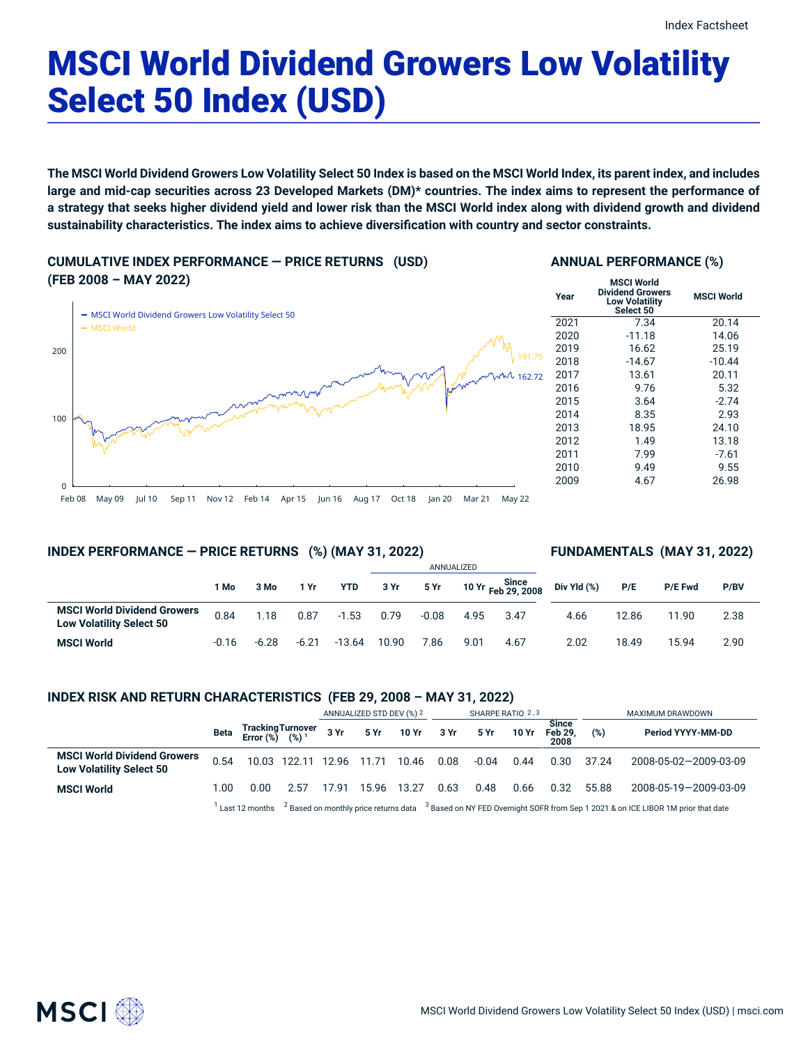# MSCI World Dividend Growers Low Volatility Select 50 Index (USD)

The MSCI World Dividend Growers Low Volatility Select 50 Index is based on the MSCI World Index, its parent index, and includes large and mid-cap securities across 23 Developed Markets (DM)\* countries. The index aims to represent the performance of a strategy that seeks higher dividend yield and lower risk than the MSCI World index along with dividend growth and dividend **sustainability characteristics. The index aims to achieve diversification with country and sector constraints.**

**CUMULATIVE INDEX PERFORMANCE — PRICE RETURNS (USD) (FEB 2008 – MAY 2022)**



## **ANNUAL PERFORMANCE (%)**

| Year | <b>MSCI World</b><br><b>Dividend Growers</b><br><b>Low Volatility</b><br>Select 50 | <b>MSCI World</b> |
|------|------------------------------------------------------------------------------------|-------------------|
| 2021 | 7.34                                                                               | 20.14             |
| 2020 | $-11.18$                                                                           | 14.06             |
| 2019 | 16.62                                                                              | 25.19             |
| 2018 | $-14.67$                                                                           | $-10.44$          |
| 2017 | 13.61                                                                              | 20.11             |
| 2016 | 9.76                                                                               | 5.32              |
| 2015 | 3.64                                                                               | $-2.74$           |
| 2014 | 8.35                                                                               | 2.93              |
| 2013 | 18.95                                                                              | 24.10             |
| 2012 | 1.49                                                                               | 13.18             |
| 2011 | 7.99                                                                               | $-7.61$           |
| 2010 | 9.49                                                                               | 9.55              |
| 2009 | 4.67                                                                               | 26.98             |

## Feb 08 May 09 Jul 10 Sep 11 Nov 12 Feb 14 Apr 15 Jun 16 Aug 17 Oct 18 Jan 20 Mar 21 May 22

## **INDEX PERFORMANCE — PRICE RETURNS (%) (MAY 31, 2022)**

## **FUNDAMENTALS (MAY 31, 2022)**

|                                                                       |         |         |         |            |       |         | ANNUALIZED |                             |             |       |                |      |
|-----------------------------------------------------------------------|---------|---------|---------|------------|-------|---------|------------|-----------------------------|-------------|-------|----------------|------|
|                                                                       | 1 Mo    | 3 Mo    | 1 Yr    | <b>YTD</b> | 3 Yr  | 5 Yr    |            | 10 Yr Since<br>The 29, 2008 | Div Yld (%) | P/E   | <b>P/E Fwd</b> | P/BV |
| <b>MSCI World Dividend Growers</b><br><b>Low Volatility Select 50</b> | 0.84    | 1.18    | 0.87    | $-1.53$    | 0.79  | $-0.08$ | 4.95       | 3.47                        | 4.66        | 12.86 | 11.90          | 2.38 |
| <b>MSCI World</b>                                                     | $-0.16$ | $-6.28$ | $-6.21$ | $-13.64$   | 10.90 | 7.86    | 9.01       | 4.67                        | 2.02        | 18.49 | 15.94          | 2.90 |

## **INDEX RISK AND RETURN CHARACTERISTICS (FEB 29, 2008 – MAY 31, 2022)**

|                                                                       |                                                                                                                                                     |                                      |                                | ANNUALIZED STD DEV (%) 2 |       |       | SHARPE RATIO 2,3 |         |       |                                 | MAXIMUM DRAWDOWN |                       |  |
|-----------------------------------------------------------------------|-----------------------------------------------------------------------------------------------------------------------------------------------------|--------------------------------------|--------------------------------|--------------------------|-------|-------|------------------|---------|-------|---------------------------------|------------------|-----------------------|--|
|                                                                       | Beta                                                                                                                                                | Tracking Turnover<br>Error (%) (%) 1 |                                | 3 Yr                     | 5 Yr  | 10 Yr | 3 Yr             | 5 Yr    | 10 Yr | <b>Since</b><br>Feb 29.<br>2008 | (%)              | Period YYYY-MM-DD     |  |
| <b>MSCI World Dividend Growers</b><br><b>Low Volatility Select 50</b> | 0.54                                                                                                                                                |                                      | 10.03 122.11 12.96 11.71 10.46 |                          |       |       | 0.08             | $-0.04$ | 0.44  | 0.30                            | 37.24            | 2008-05-02-2009-03-09 |  |
| <b>MSCI World</b>                                                     | 1.00                                                                                                                                                | 0.00                                 | 2.57                           | 17.91                    | 15.96 | 13.27 | 0.63             | 0.48    | 0.66  | 0.32                            | 55.88            | 2008-05-19-2009-03-09 |  |
|                                                                       | Last 12 months $^{-2}$ Based on monthly price returns data $^{-3}$ Based on NY FED Overnight SOFR from Sep 1 2021 & on ICE LIBOR 1M prior that date |                                      |                                |                          |       |       |                  |         |       |                                 |                  |                       |  |

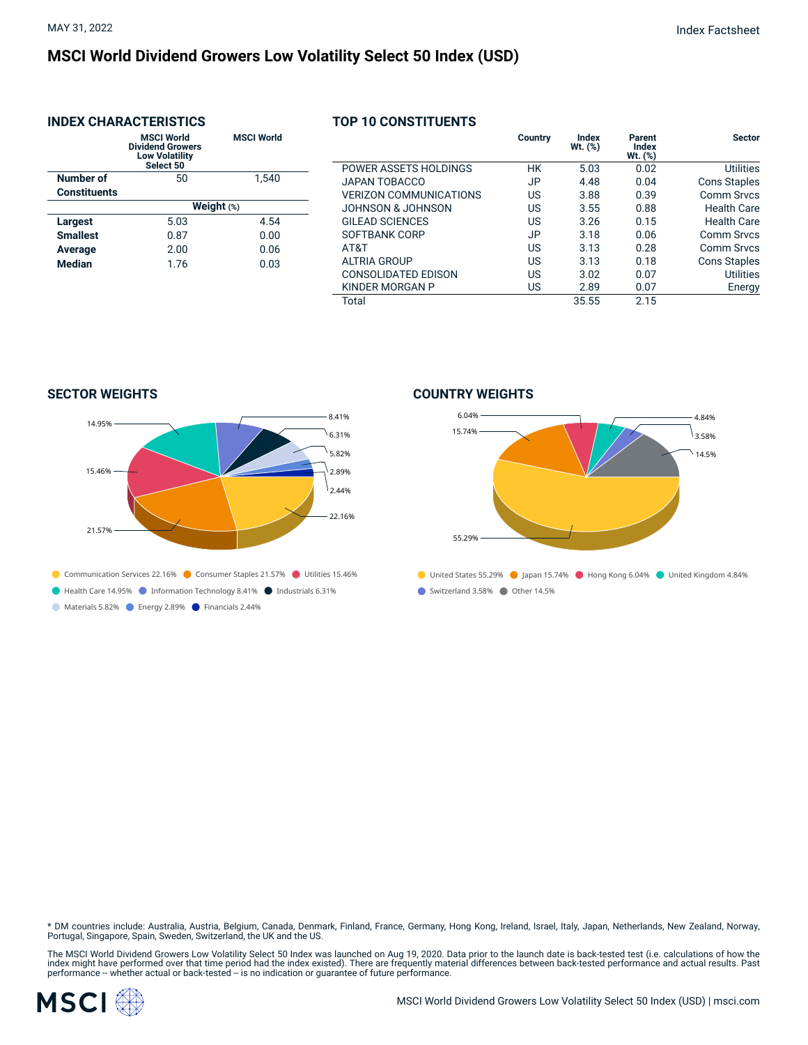## **MSCI World Dividend Growers Low Volatility Select 50 Index (USD)**

## **INDEX CHARACTERISTICS**

|                     | <b>MSCI World</b><br><b>Dividend Growers</b><br><b>Low Volatility</b><br>Select 50 | <b>MSCI World</b> |  |  |  |  |  |
|---------------------|------------------------------------------------------------------------------------|-------------------|--|--|--|--|--|
| Number of           | 50                                                                                 | 1,540             |  |  |  |  |  |
| <b>Constituents</b> |                                                                                    |                   |  |  |  |  |  |
|                     | Weight (%)                                                                         |                   |  |  |  |  |  |
| <b>Largest</b>      | 5.03                                                                               | 4.54              |  |  |  |  |  |
| <b>Smallest</b>     | 0.87                                                                               | 0.00              |  |  |  |  |  |
| Average             | 2.00                                                                               | 0.06              |  |  |  |  |  |
| <b>Median</b>       | 1.76                                                                               | 0.03              |  |  |  |  |  |
|                     |                                                                                    |                   |  |  |  |  |  |

## **TOP 10 CONSTITUENTS**

|                               | Country | Index<br>$Wt.$ $(\%)$ | Parent<br>Index<br>Wt. (%) | <b>Sector</b>       |
|-------------------------------|---------|-----------------------|----------------------------|---------------------|
| POWER ASSETS HOLDINGS         | НK      | 5.03                  | 0.02                       | <b>Utilities</b>    |
| JAPAN TOBACCO                 | JP.     | 4.48                  | 0.04                       | <b>Cons Staples</b> |
| <b>VERIZON COMMUNICATIONS</b> | US.     | 3.88                  | 0.39                       | Comm Srvcs          |
| JOHNSON & JOHNSON             | US      | 3.55                  | 0.88                       | <b>Health Care</b>  |
| GILEAD SCIENCES               | US      | 3.26                  | 0.15                       | Health Care         |
| SOFTBANK CORP                 | JP.     | 3.18                  | 0.06                       | Comm Srvcs          |
| AT&T                          | US.     | 3.13                  | 0.28                       | Comm Srvcs          |
| <b>ALTRIA GROUP</b>           | US.     | 3.13                  | 0.18                       | <b>Cons Staples</b> |
| <b>CONSOLIDATED EDISON</b>    | US.     | 3.02                  | 0.07                       | <b>Utilities</b>    |
| KINDER MORGAN P               | US      | 2.89                  | 0.07                       | Energy              |
| Total                         |         | 35.55                 | 2.15                       |                     |

**SECTOR WEIGHTS**



## **COUNTRY WEIGHTS**



\* DM countries include: Australia, Austria, Belgium, Canada, Denmark, Finland, France, Germany, Hong Kong, Ireland, Israel, Italy, Japan, Netherlands, New Zealand, Norway,<br>Portugal, Singapore, Spain, Sweden, Switzerland, t

The MSCI World Dividend Growers Low Volatility Select 50 Index was launched on Aug 19, 2020. Data prior to the launch date is back-tested test (i.e. calculations of how the<br>index might have performed over that time period